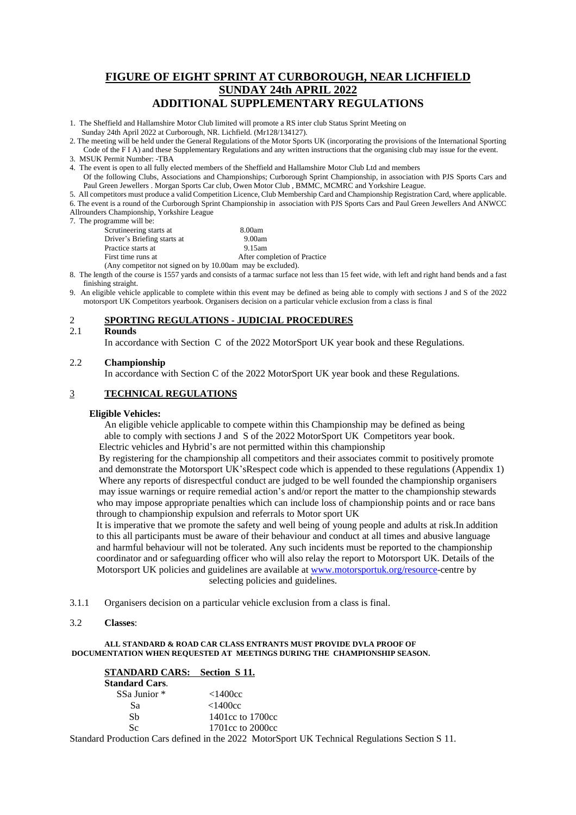# **FIGURE OF EIGHT SPRINT AT CURBOROUGH, NEAR LICHFIELD SUNDAY 24th APRIL 2022 ADDITIONAL SUPPLEMENTARY REGULATIONS**

1. The Sheffield and Hallamshire Motor Club limited will promote a RS inter club Status Sprint Meeting on Sunday 24th April 2022 at Curborough, NR. Lichfield. (Mr128/134127).

2. The meeting will be held under the General Regulations of the Motor Sports UK (incorporating the provisions of the International Sporting Code of the F I A) and these Supplementary Regulations and any written instructions that the organising club may issue for the event.

4. The event is open to all fully elected members of the Sheffield and Hallamshire Motor Club Ltd and members Of the following Clubs, Associations and Championships; Curborough Sprint Championship, in association with PJS Sports Cars and

Paul Green Jewellers . Morgan Sports Car club, Owen Motor Club, BMMC, MCMRC and Yorkshire League.

5. All competitors must produce a valid Competition Licence, Club Membership Card and Championship Registration Card, where applicable. 6. The event is a round of the Curborough Sprint Championship in association with PJS Sports Cars and Paul Green Jewellers And ANWCC Allrounders Championship, Yorkshire League

7. The programme will be:

| Scrutineering starts at                                       | 8.00am                       |
|---------------------------------------------------------------|------------------------------|
| Driver's Briefing starts at                                   | 9.00am                       |
| Practice starts at                                            | 9.15am                       |
| First time runs at                                            | After completion of Practice |
| (Any competitor not signed on by $10.00$ am may be excluded). |                              |

8. The length of the course is 1557 yards and consists of a tarmac surface not less than 15 feet wide, with left and right hand bends and a fast finishing straight.

9. An eligible vehicle applicable to complete within this event may be defined as being able to comply with sections J and S of the 2022 motorsport UK Competitors yearbook. Organisers decision on a particular vehicle exclusion from a class is final

# 2 **SPORTING REGULATIONS - JUDICIAL PROCEDURES**

#### 2.1 **Rounds**

In accordance with Section C of the 2022 MotorSport UK year book and these Regulations.

## 2.2 **Championship**

In accordance with Section C of the 2022 MotorSport UK year book and these Regulations.

# 3 **TECHNICAL REGULATIONS**

# **Eligible Vehicles:**

An eligible vehicle applicable to compete within this Championship may be defined as being able to comply with sections J and S of the 2022 MotorSport UK Competitors year book. Electric vehicles and Hybrid's are not permitted within this championship

 By registering for the championship all competitors and their associates commit to positively promote and demonstrate the Motorsport UK'sRespect code which is appended to these regulations (Appendix 1) Where any reports of disrespectful conduct are judged to be well founded the championship organisers may issue warnings or require remedial action's and/or report the matter to the championship stewards who may impose appropriate penalties which can include loss of championship points and or race bans through to championship expulsion and referrals to Motor sport UK

 It is imperative that we promote the safety and well being of young people and adults at risk.In addition to this all participants must be aware of their behaviour and conduct at all times and abusive language and harmful behaviour will not be tolerated. Any such incidents must be reported to the championship coordinator and or safeguarding officer who will also relay the report to Motorsport UK. Details of the Motorsport UK policies and guidelines are available at [www.motorsportuk.org/resource-](http://www.motorsportuk.org/resource)centre by selecting policies and guidelines.

3.1.1 Organisers decision on a particular vehicle exclusion from a class is final.

3.2 **Classes**:

#### **ALL STANDARD & ROAD CAR CLASS ENTRANTS MUST PROVIDE DVLA PROOF OF DOCUMENTATION WHEN REQUESTED AT MEETINGS DURING THE CHAMPIONSHIP SEASON.**

| <b>STANDARD CARS: Section S 11.</b> |                  |
|-------------------------------------|------------------|
| <b>Standard Cars.</b>               |                  |
| SSa Junior *                        | $<$ 1400cc       |
| Sа                                  | <1400cc          |
| Sh                                  | 1401cc to 1700cc |
| Sc.                                 | 1701cc to 2000cc |

Standard Production Cars defined in the 2022 MotorSport UK Technical Regulations Section S 11.

<sup>3.</sup> MSUK Permit Number: -TBA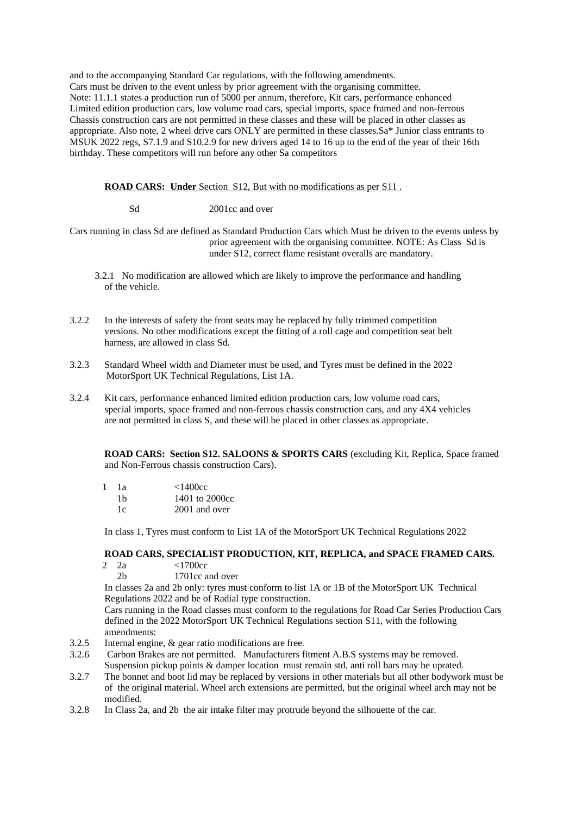and to the accompanying Standard Car regulations, with the following amendments. Cars must be driven to the event unless by prior agreement with the organising committee. Note: 11.1.1 states a production run of 5000 per annum, therefore, Kit cars, performance enhanced Limited edition production cars, low volume road cars, special imports, space framed and non-ferrous Chassis construction cars are not permitted in these classes and these will be placed in other classes as appropriate. Also note, 2 wheel drive cars ONLY are permitted in these classes.Sa\* Junior class entrants to MSUK 2022 regs, S7.1.9 and S10.2.9 for new drivers aged 14 to 16 up to the end of the year of their 16th birthday. These competitors will run before any other Sa competitors

**ROAD CARS: Under** Section S12, But with no modifications as per S11 .

Sd 2001cc and over

Cars running in class Sd are defined as Standard Production Cars which Must be driven to the events unless by prior agreement with the organising committee. NOTE: As Class Sd is under S12, correct flame resistant overalls are mandatory.

- 3.2.1 No modification are allowed which are likely to improve the performance and handling of the vehicle.
- 3.2.2 In the interests of safety the front seats may be replaced by fully trimmed competition versions. No other modifications except the fitting of a roll cage and competition seat belt harness, are allowed in class Sd.
- 3.2.3 Standard Wheel width and Diameter must be used, and Tyres must be defined in the 2022 MotorSport UK Technical Regulations, List 1A.
- 3.2.4 Kit cars, performance enhanced limited edition production cars, low volume road cars, special imports, space framed and non-ferrous chassis construction cars, and any 4X4 vehicles are not permitted in class S, and these will be placed in other classes as appropriate.

**ROAD CARS: Section S12. SALOONS & SPORTS CARS** (excluding Kit, Replica, Space framed and Non-Ferrous chassis construction Cars).

| 1 | 1a | <1400cc        |
|---|----|----------------|
|   | 1b | 1401 to 2000cc |
|   | 1c | 2001 and over  |

In class 1, Tyres must conform to List 1A of the MotorSport UK Technical Regulations 2022

#### **ROAD CARS, SPECIALIST PRODUCTION, KIT, REPLICA, and SPACE FRAMED CARS.**

- 2 2a <1700cc
	- 2b 1701cc and over

In classes 2a and 2b only: tyres must conform to list 1A or 1B of the MotorSport UK Technical Regulations 2022 and be of Radial type construction.

Cars running in the Road classes must conform to the regulations for Road Car Series Production Cars defined in the 2022 MotorSport UK Technical Regulations section S11, with the following amendments:

- 3.2.5 Internal engine, & gear ratio modifications are free.
- 3.2.6 Carbon Brakes are not permitted. Manufacturers fitment A.B.S systems may be removed. Suspension pickup points & damper location must remain std, anti roll bars may be uprated.
- 3.2.7 The bonnet and boot lid may be replaced by versions in other materials but all other bodywork must be of the original material. Wheel arch extensions are permitted, but the original wheel arch may not be modified.
- 3.2.8 In Class 2a, and 2b the air intake filter may protrude beyond the silhouette of the car.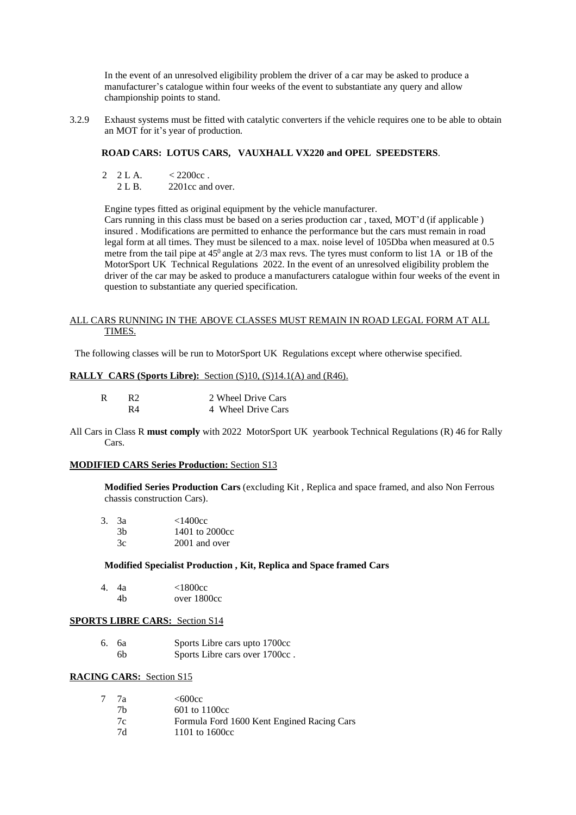In the event of an unresolved eligibility problem the driver of a car may be asked to produce a manufacturer's catalogue within four weeks of the event to substantiate any query and allow championship points to stand.

3.2.9 Exhaust systems must be fitted with catalytic converters if the vehicle requires one to be able to obtain an MOT for it's year of production.

# **ROAD CARS: LOTUS CARS, VAUXHALL VX220 and OPEL SPEEDSTERS**.

Engine types fitted as original equipment by the vehicle manufacturer.

Cars running in this class must be based on a series production car , taxed, MOT'd (if applicable ) insured . Modifications are permitted to enhance the performance but the cars must remain in road legal form at all times. They must be silenced to a max. noise level of 105Dba when measured at 0.5 metre from the tail pipe at  $45^0$  angle at  $2/3$  max revs. The tyres must conform to list 1A or 1B of the MotorSport UK Technical Regulations 2022. In the event of an unresolved eligibility problem the driver of the car may be asked to produce a manufacturers catalogue within four weeks of the event in question to substantiate any queried specification.

#### ALL CARS RUNNING IN THE ABOVE CLASSES MUST REMAIN IN ROAD LEGAL FORM AT ALL TIMES.

The following classes will be run to MotorSport UK Regulations except where otherwise specified.

# **RALLY CARS (Sports Libre):** Section (S)10, (S)14.1(A) and (R46).

| R2 | 2 Wheel Drive Cars |
|----|--------------------|
| R4 | 4 Wheel Drive Cars |

All Cars in Class R **must comply** with 2022 MotorSport UK yearbook Technical Regulations (R) 46 for Rally Cars.

# **MODIFIED CARS Series Production:** Section S13

**Modified Series Production Cars** (excluding Kit , Replica and space framed, and also Non Ferrous chassis construction Cars).

| $3. \ \ 3a$ | <1400cc        |
|-------------|----------------|
| 3h          | 1401 to 2000cc |
| 3c          | 2001 and over  |

#### **Modified Specialist Production , Kit, Replica and Space framed Cars**

| 4. | 4a | <1800cc     |
|----|----|-------------|
|    | 4h | over 1800cc |

#### **SPORTS LIBRE CARS:** Section S14

6. 6a Sports Libre cars upto 1700cc 6b Sports Libre cars over 1700cc .

# **RACING CARS:** Section S15

| 7a | <600cc                                     |
|----|--------------------------------------------|
| 7h | $601$ to $1100cc$                          |
| 7c | Formula Ford 1600 Kent Engined Racing Cars |
| 7d | 1101 to $1600cc$                           |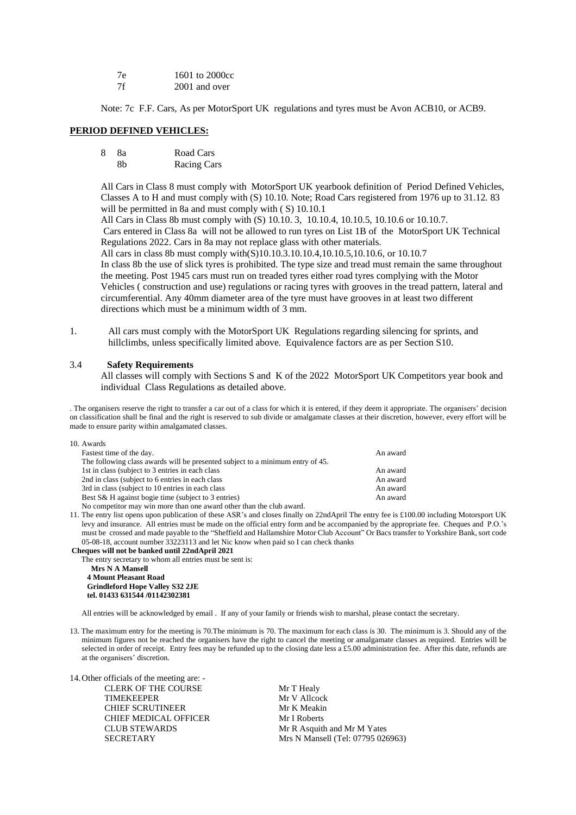| 7e | 1601 to 2000cc |
|----|----------------|
| 7f | 2001 and over  |

Note: 7c F.F. Cars, As per MotorSport UK regulations and tyres must be Avon ACB10, or ACB9.

#### **PERIOD DEFINED VEHICLES:**

| 8 | -8a | Road Cars          |
|---|-----|--------------------|
|   | 8h  | <b>Racing Cars</b> |

All Cars in Class 8 must comply with MotorSport UK yearbook definition of Period Defined Vehicles, Classes A to H and must comply with (S) 10.10. Note; Road Cars registered from 1976 up to 31.12. 83 will be permitted in 8a and must comply with (S) 10.10.1

All Cars in Class 8b must comply with (S) 10.10. 3, 10.10.4, 10.10.5, 10.10.6 or 10.10.7. Cars entered in Class 8a will not be allowed to run tyres on List 1B of the MotorSport UK Technical Regulations 2022. Cars in 8a may not replace glass with other materials.

All cars in class 8b must comply with(S)10.10.3.10.10.4,10.10.5,10.10.6, or 10.10.7 In class 8b the use of slick tyres is prohibited. The type size and tread must remain the same throughout the meeting. Post 1945 cars must run on treaded tyres either road tyres complying with the Motor Vehicles ( construction and use) regulations or racing tyres with grooves in the tread pattern, lateral and circumferential. Any 40mm diameter area of the tyre must have grooves in at least two different directions which must be a minimum width of 3 mm.

1. All cars must comply with the MotorSport UK Regulations regarding silencing for sprints, and hillclimbs, unless specifically limited above. Equivalence factors are as per Section S10.

#### 3.4 **Safety Requirements**

All classes will comply with Sections S and K of the 2022 MotorSport UK Competitors year book and individual Class Regulations as detailed above.

. The organisers reserve the right to transfer a car out of a class for which it is entered, if they deem it appropriate. The organisers' decision on classification shall be final and the right is reserved to sub divide or amalgamate classes at their discretion, however, every effort will be made to ensure parity within amalgamated classes.

| 10. Awards                                                                     |          |
|--------------------------------------------------------------------------------|----------|
| Fastest time of the day.                                                       | An award |
| The following class awards will be presented subject to a minimum entry of 45. |          |
| 1st in class (subject to 3 entries in each class)                              | An award |
| 2nd in class (subject to 6 entries in each class)                              | An award |
| 3rd in class (subject to 10 entries in each class)                             | An award |
| Best S& H against bogie time (subject to 3 entries)                            | An award |
| No competitor may win more than one award other than the club award.           |          |

11. The entry list opens upon publication of these ASR's and closes finally on 22ndApril The entry fee is £100.00 including Motorsport UK levy and insurance. All entries must be made on the official entry form and be accompanied by the appropriate fee. Cheques and P.O.'s must be crossed and made payable to the "Sheffield and Hallamshire Motor Club Account" Or Bacs transfer to Yorkshire Bank, sort code 05-08-18, account number 33223113 and let Nic know when paid so I can check thanks

**Cheques will not be banked until 22ndApril 2021**

The entry secretary to whom all entries must be sent is:

 **Mrs N A Mansell 4 Mount Pleasant Road Grindleford Hope Valley S32 2JE tel. 01433 631544 /01142302381**

All entries will be acknowledged by email . If any of your family or friends wish to marshal, please contact the secretary.

13. The maximum entry for the meeting is 70.The minimum is 70. The maximum for each class is 30. The minimum is 3. Should any of the minimum figures not be reached the organisers have the right to cancel the meeting or amalgamate classes as required. Entries will be selected in order of receipt. Entry fees may be refunded up to the closing date less a £5.00 administration fee. After this date, refunds are at the organisers' discretion.

14.Other officials of the meeting are: - CLERK OF THE COURSE Mr T Healy TIMEKEEPER Mr V Allcock CHIEF SCRUTINEER Mr K Meakin CHIEF MEDICAL OFFICER Mr I Roberts

CLUB STEWARDS Mr R Asquith and Mr M Yates SECRETARY Mrs N Mansell (Tel: 07795 026963)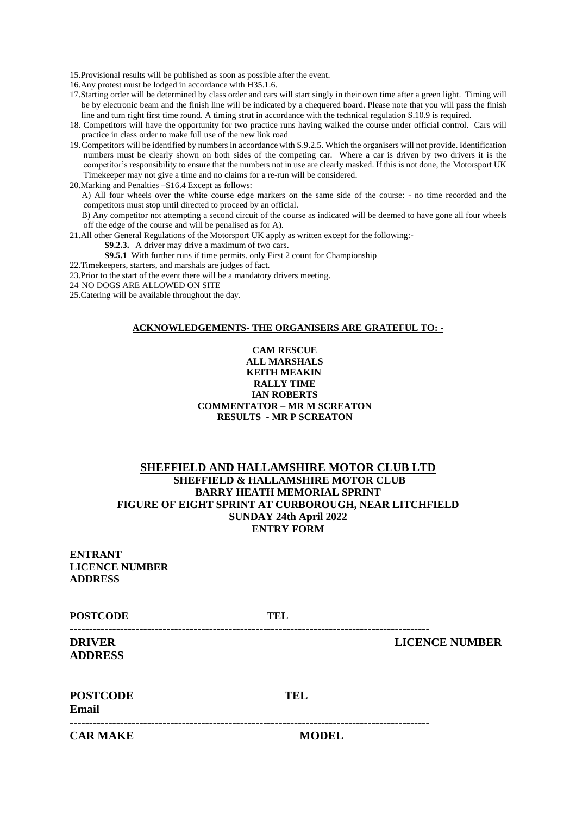15.Provisional results will be published as soon as possible after the event.

16.Any protest must be lodged in accordance with H35.1.6.

- 17.Starting order will be determined by class order and cars will start singly in their own time after a green light. Timing will be by electronic beam and the finish line will be indicated by a chequered board. Please note that you will pass the finish line and turn right first time round. A timing strut in accordance with the technical regulation S.10.9 is required.
- 18. Competitors will have the opportunity for two practice runs having walked the course under official control. Cars will practice in class order to make full use of the new link road
- 19.Competitors will be identified by numbers in accordance with S.9.2.5. Which the organisers will not provide. Identification numbers must be clearly shown on both sides of the competing car. Where a car is driven by two drivers it is the competitor's responsibility to ensure that the numbers not in use are clearly masked. If this is not done, the Motorsport UK Timekeeper may not give a time and no claims for a re-run will be considered.

20.Marking and Penalties –S16.4 Except as follows:

A) All four wheels over the white course edge markers on the same side of the course: - no time recorded and the competitors must stop until directed to proceed by an official.

B) Any competitor not attempting a second circuit of the course as indicated will be deemed to have gone all four wheels off the edge of the course and will be penalised as for A).

21.All other General Regulations of the Motorsport UK apply as written except for the following:-

**S9.2.3.** A driver may drive a maximum of two cars.

**S9.5.1** With further runs if time permits. only First 2 count for Championship

- 22.Timekeepers, starters, and marshals are judges of fact.
- 23.Prior to the start of the event there will be a mandatory drivers meeting.
- 24 NO DOGS ARE ALLOWED ON SITE
- 25.Catering will be available throughout the day.

#### **ACKNOWLEDGEMENTS- THE ORGANISERS ARE GRATEFUL TO: -**

# **CAM RESCUE ALL MARSHALS KEITH MEAKIN RALLY TIME IAN ROBERTS COMMENTATOR – MR M SCREATON RESULTS - MR P SCREATON**

# **SHEFFIELD AND HALLAMSHIRE MOTOR CLUB LTD SHEFFIELD & HALLAMSHIRE MOTOR CLUB BARRY HEATH MEMORIAL SPRINT FIGURE OF EIGHT SPRINT AT CURBOROUGH, NEAR LITCHFIELD SUNDAY 24th April 2022 ENTRY FORM**

**ENTRANT LICENCE NUMBER ADDRESS**

| <b>POSTCODE</b>                 | TEL          |                       |
|---------------------------------|--------------|-----------------------|
| <b>DRIVER</b><br><b>ADDRESS</b> |              | <b>LICENCE NUMBER</b> |
| <b>POSTCODE</b><br><b>Email</b> | <b>TEL</b>   |                       |
| <b>CAR MAKE</b>                 | <b>MODEL</b> |                       |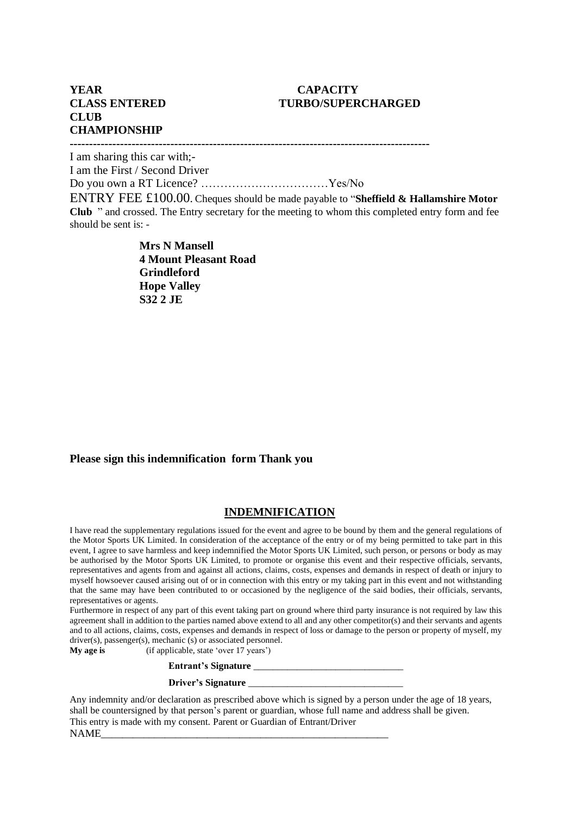# **CLASS ENTERED TURBO/SUPERCHARGED**

# **YEAR CAPACITY CLUB CHAMPIONSHIP**

**---------------------------------------------------------------------------------------------**

I am sharing this car with;-

I am the First / Second Driver

Do you own a RT Licence? ……………………………Yes/No

ENTRY FEE £100.00. Cheques should be made payable to "**Sheffield & Hallamshire Motor Club** " and crossed. The Entry secretary for the meeting to whom this completed entry form and fee should be sent is: -

> **Mrs N Mansell 4 Mount Pleasant Road Grindleford Hope Valley S32 2 JE**

# **Please sign this indemnification form Thank you**

# **INDEMNIFICATION**

I have read the supplementary regulations issued for the event and agree to be bound by them and the general regulations of the Motor Sports UK Limited. In consideration of the acceptance of the entry or of my being permitted to take part in this event, I agree to save harmless and keep indemnified the Motor Sports UK Limited, such person, or persons or body as may be authorised by the Motor Sports UK Limited, to promote or organise this event and their respective officials, servants, representatives and agents from and against all actions, claims, costs, expenses and demands in respect of death or injury to myself howsoever caused arising out of or in connection with this entry or my taking part in this event and not withstanding that the same may have been contributed to or occasioned by the negligence of the said bodies, their officials, servants, representatives or agents.

Furthermore in respect of any part of this event taking part on ground where third party insurance is not required by law this agreement shall in addition to the parties named above extend to all and any other competitor(s) and their servants and agents and to all actions, claims, costs, expenses and demands in respect of loss or damage to the person or property of myself, my driver(s), passenger(s), mechanic (s) or associated personnel.

**My** age is (if applicable, state 'over 17 years')

# **Entrant's Signature** \_\_\_\_\_\_\_\_\_\_\_\_\_\_\_\_\_\_\_\_\_\_\_\_\_\_\_\_\_\_\_

## **Driver's Signature** \_\_\_\_\_\_\_\_\_\_\_\_\_\_\_\_\_\_\_\_\_\_\_\_\_\_\_\_\_\_\_\_

Any indemnity and/or declaration as prescribed above which is signed by a person under the age of 18 years, shall be countersigned by that person's parent or guardian, whose full name and address shall be given. This entry is made with my consent. Parent or Guardian of Entrant/Driver NAME\_\_\_\_\_\_\_\_\_\_\_\_\_\_\_\_\_\_\_\_\_\_\_\_\_\_\_\_\_\_\_\_\_\_\_\_\_\_\_\_\_\_\_\_\_\_\_\_\_\_\_\_\_\_